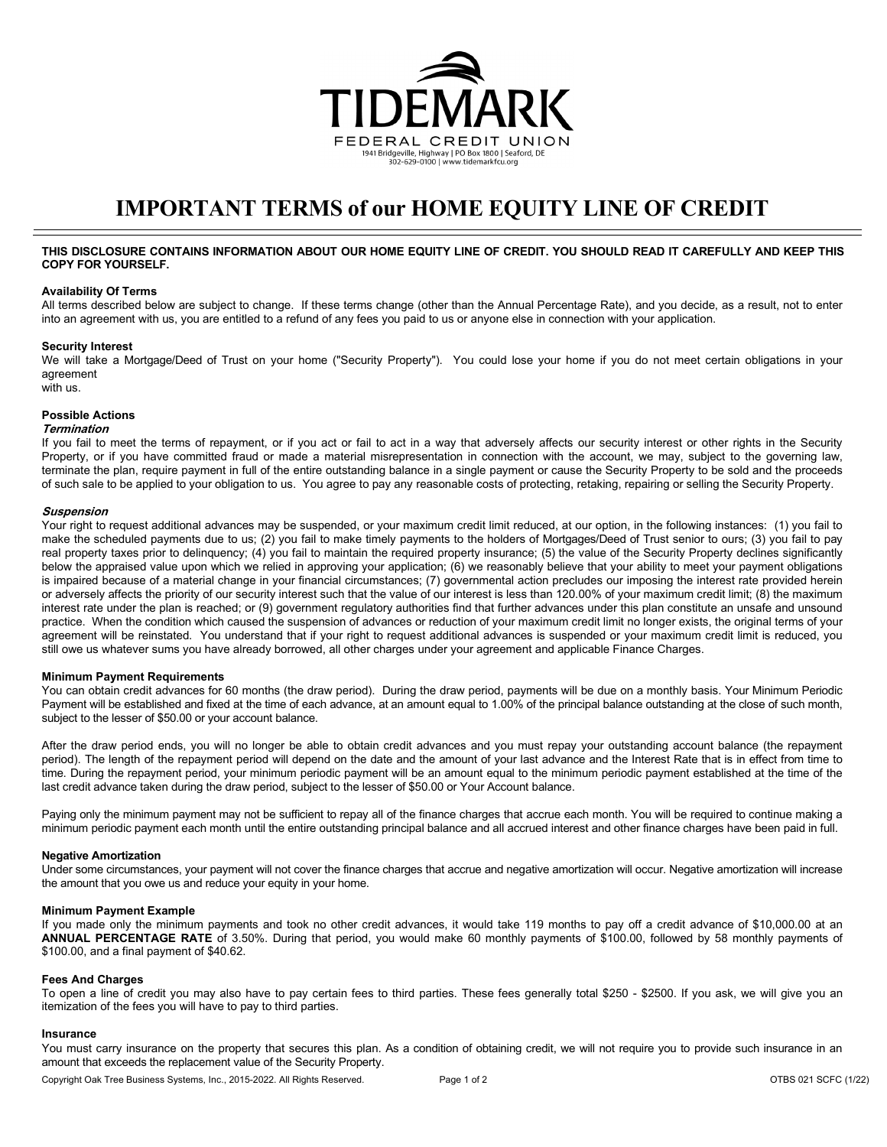

# **IMPORTANT TERMS of our HOME EQUITY LINE OF CREDIT**

## **THIS DISCLOSURE CONTAINS INFORMATION ABOUT OUR HOME EQUITY LINE OF CREDIT. YOU SHOULD READ IT CAREFULLY AND KEEP THIS COPY FOR YOURSELF.**

#### **Availability Of Terms**

All terms described below are subject to change. If these terms change (other than the Annual Percentage Rate), and you decide, as a result, not to enter into an agreement with us, you are entitled to a refund of any fees you paid to us or anyone else in connection with your application.

## **Security Interest**

We will take a Mortgage/Deed of Trust on your home ("Security Property"). You could lose your home if you do not meet certain obligations in your agreement

with us.

# **Possible Actions**

## **Termination**

If you fail to meet the terms of repayment, or if you act or fail to act in a way that adversely affects our security interest or other rights in the Security Property, or if you have committed fraud or made a material misrepresentation in connection with the account, we may, subject to the governing law, terminate the plan, require payment in full of the entire outstanding balance in a single payment or cause the Security Property to be sold and the proceeds of such sale to be applied to your obligation to us. You agree to pay any reasonable costs of protecting, retaking, repairing or selling the Security Property.

#### **Suspension**

Your right to request additional advances may be suspended, or your maximum credit limit reduced, at our option, in the following instances: (1) you fail to make the scheduled payments due to us; (2) you fail to make timely payments to the holders of Mortgages/Deed of Trust senior to ours; (3) you fail to pay real property taxes prior to delinquency; (4) you fail to maintain the required property insurance; (5) the value of the Security Property declines significantly below the appraised value upon which we relied in approving your application; (6) we reasonably believe that your ability to meet your payment obligations is impaired because of a material change in your financial circumstances; (7) governmental action precludes our imposing the interest rate provided herein or adversely affects the priority of our security interest such that the value of our interest is less than 120.00% of your maximum credit limit; (8) the maximum interest rate under the plan is reached; or (9) government regulatory authorities find that further advances under this plan constitute an unsafe and unsound practice. When the condition which caused the suspension of advances or reduction of your maximum credit limit no longer exists, the original terms of your agreement will be reinstated. You understand that if your right to request additional advances is suspended or your maximum credit limit is reduced, you still owe us whatever sums you have already borrowed, all other charges under your agreement and applicable Finance Charges.

## **Minimum Payment Requirements**

You can obtain credit advances for 60 months (the draw period). During the draw period, payments will be due on a monthly basis. Your Minimum Periodic Payment will be established and fixed at the time of each advance, at an amount equal to 1.00% of the principal balance outstanding at the close of such month, subject to the lesser of \$50.00 or your account balance.

After the draw period ends, you will no longer be able to obtain credit advances and you must repay your outstanding account balance (the repayment period). The length of the repayment period will depend on the date and the amount of your last advance and the Interest Rate that is in effect from time to time. During the repayment period, your minimum periodic payment will be an amount equal to the minimum periodic payment established at the time of the last credit advance taken during the draw period, subject to the lesser of \$50.00 or Your Account balance.

Paying only the minimum payment may not be sufficient to repay all of the finance charges that accrue each month. You will be required to continue making a minimum periodic payment each month until the entire outstanding principal balance and all accrued interest and other finance charges have been paid in full.

#### **Negative Amortization**

Under some circumstances, your payment will not cover the finance charges that accrue and negative amortization will occur. Negative amortization will increase the amount that you owe us and reduce your equity in your home.

#### **Minimum Payment Example**

If you made only the minimum payments and took no other credit advances, it would take 119 months to pay off a credit advance of \$10,000.00 at an **ANNUAL PERCENTAGE RATE** of 3.50%. During that period, you would make 60 monthly payments of \$100.00, followed by 58 monthly payments of \$100.00, and a final payment of \$40.62.

#### **Fees And Charges**

To open a line of credit you may also have to pay certain fees to third parties. These fees generally total \$250 - \$2500. If you ask, we will give you an itemization of the fees you will have to pay to third parties.

#### **Insurance**

You must carry insurance on the property that secures this plan. As a condition of obtaining credit, we will not require you to provide such insurance in an amount that exceeds the replacement value of the Security Property.